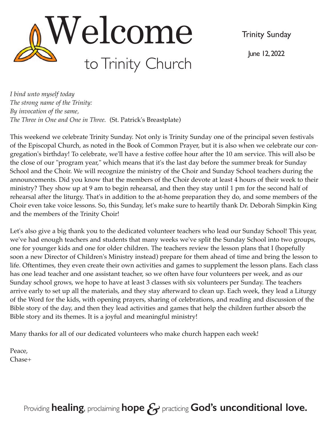Trinity Sunday

June 12, 2022



*I bind unto myself today The strong name of the Trinity: By invocation of the same, The Three in One and One in Three.* (St. Patrick's Breastplate)

This weekend we celebrate Trinity Sunday. Not only is Trinity Sunday one of the principal seven festivals of the Episcopal Church, as noted in the Book of Common Prayer, but it is also when we celebrate our congregation's birthday! To celebrate, we'll have a festive coffee hour after the 10 am service. This will also be the close of our "program year," which means that it's the last day before the summer break for Sunday School and the Choir. We will recognize the ministry of the Choir and Sunday School teachers during the announcements. Did you know that the members of the Choir devote at least 4 hours of their week to their ministry? They show up at 9 am to begin rehearsal, and then they stay until 1 pm for the second half of rehearsal after the liturgy. That's in addition to the at-home preparation they do, and some members of the Choir even take voice lessons. So, this Sunday, let's make sure to heartily thank Dr. Deborah Simpkin King and the members of the Trinity Choir!

Let's also give a big thank you to the dedicated volunteer teachers who lead our Sunday School! This year, we've had enough teachers and students that many weeks we've split the Sunday School into two groups, one for younger kids and one for older children. The teachers review the lesson plans that I (hopefully soon a new Director of Children's Ministry instead) prepare for them ahead of time and bring the lesson to life. Oftentimes, they even create their own activities and games to supplement the lesson plans. Each class has one lead teacher and one assistant teacher, so we often have four volunteers per week, and as our Sunday school grows, we hope to have at least 3 classes with six volunteers per Sunday. The teachers arrive early to set up all the materials, and they stay afterward to clean up. Each week, they lead a Liturgy of the Word for the kids, with opening prayers, sharing of celebrations, and reading and discussion of the Bible story of the day, and then they lead activities and games that help the children further absorb the Bible story and its themes. It is a joyful and meaningful ministry!

Many thanks for all of our dedicated volunteers who make church happen each week!

Peace, Chase+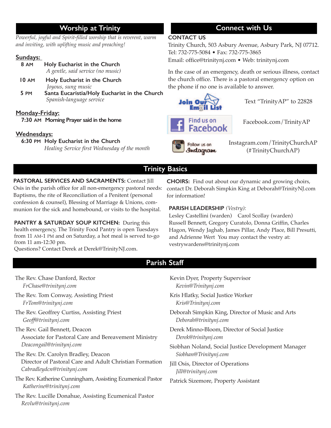# **Worship at Trinity**

*Powerful, joyful and Spirit-filled worship that is reverent, warm and inviting, with uplifting music and preaching!* 

#### **Sundays:**

| 8 AM | Holy Eucharist in the Church      |  |  |  |
|------|-----------------------------------|--|--|--|
|      | A gentle, said service (no music) |  |  |  |

- **10 AM Holy Eucharist in the Church** *Joyous, sung music*
- **5 PM Santa Eucaristia/Holy Eucharist in the Church**   *Spanish-language service*

### **Monday-Friday:**

 **7:30 AM Morning Prayer said in the home** 

#### **Wednesdays:**

#### **6:30 PM Holy Eucharist in the Church**

 *Healing Service first Wednesday of the month*

# **Connect with Us**

#### **CONTACT US**

Trinity Church, 503 Asbury Avenue, Asbury Park, NJ 07712. Tel: 732-775-5084 • Fax: 732-775-3865 Email: office@trinitynj.com • Web: trinitynj.com

In the case of an emergency, death or serious illness, contact the church office. There is a pastoral emergency option on the phone if no one is available to answer.



Text "TrinityAP" to 22828



Facebook.com/TrinityAP

Follow us on Instagram Instagram.com/TrinityChurchAP (#TrinityChurchAP)

## **Trinity Basics**

**PASTORAL SERVICES AND SACRAMENTS:** Contact Jill Osis in the parish office for all non-emergency pastoral needs: Baptisms, the rite of Reconciliation of a Penitent (personal confession & counsel), Blessing of Marriage & Unions, communion for the sick and homebound, or visits to the hospital.

**PANTRY & SATURDAY SOUP KITCHEN:** During this health emergency, The Trinity Food Pantry is open Tuesdays from 11 AM-1 PM and on Saturday, a hot meal is served to-go from 11 am-12:30 pm.

Questions? Contact Derek at Derek@TrinityNJ.com.

**CHOIRS:** Find out about our dynamic and growing choirs, contact Dr. Deborah Simpkin King at Deborah@TrinityNJ.com for information!

#### **PARISH LEADERSHIP** *(Vestry):*

Lesley Castellini (warden) Carol Scollay (warden) Russell Bennett, Gregory Curatolo, Donna Griffin, Charles Hagon, Wendy Jaghab, James Pillar, Andy Place, Bill Presutti, and Adrienne Wert You may contact the vestry at: vestrywardens@trinitynj.com

## **Parish Staff**

The Rev. Chase Danford, Rector *FrChase@trinitynj.com*  The Rev. Tom Conway, Assisting Priest *FrTom@trinitynj.com*  The Rev. Geoffrey Curtiss, Assisting Priest *Geoff@trinitynj.com*  The Rev. Gail Bennett, Deacon Associate for Pastoral Care and Bereavement Ministry *Deacongail@trinitynj.com*  The Rev. Dr. Carolyn Bradley, Deacon Director of Pastoral Care and Adult Christian Formation *Cabradleydcn@trinitynj.com*  The Rev. Katherine Cunningham, Assisting Ecumenical Pastor *Katherine@trinitynj.com* The Rev. Lucille Donahue, Assisting Ecumenical Pastor *Revlu@trinitynj.com*  Kevin Dyer, Property Supervisor *Kevin@Trinitynj.com*  Kris Hlatky, Social Justice Worker *Kris@Trinitynj.com*  Deborah Simpkin King, Director of Music and Arts *Deborah@trinitynj.com*  Derek Minno-Bloom, Director of Social Justice *Derek@trinitynj.com*  Siobhan Noland, Social Justice Development Manager  *Siobhan@Trinitynj.com*  Jill Osis, Director of Operations *Jill@trinitynj.com*  Patrick Sizemore, Property Assistant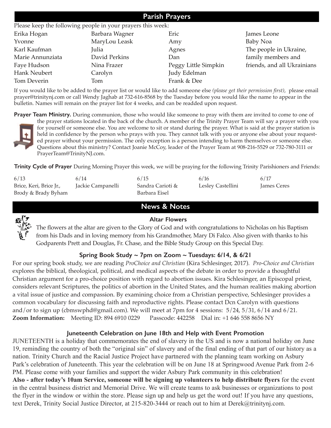| <b>Parish Prayers</b><br>Please keep the following people in your prayers this week: |               |                      |                             |  |  |  |  |
|--------------------------------------------------------------------------------------|---------------|----------------------|-----------------------------|--|--|--|--|
|                                                                                      |               |                      |                             |  |  |  |  |
| Yvonne                                                                               | MaryLou Leask | Amy                  | Baby Noa                    |  |  |  |  |
| Karl Kaufman                                                                         | Julia         | Agnes                | The people in Ukraine,      |  |  |  |  |
| Marie Annunziata                                                                     | David Perkins | Dan                  | family members and          |  |  |  |  |
| Faye Hudson                                                                          | Nina Frazer   | Peggy Little Simpkin | friends, and all Ukrainians |  |  |  |  |
| Hank Neubert                                                                         | Carolyn       | Judy Edelman         |                             |  |  |  |  |
| Tom Deverin                                                                          | Tom           | Frank & Dee          |                             |  |  |  |  |

If you would like to be added to the prayer list or would like to add someone else *(please get their permission first)*, please email prayer@trinitynj.com or call Wendy Jaghab at 732-616-8568 by the Tuesday before you would like the name to appear in the bulletin. Names will remain on the prayer list for 4 weeks, and can be readded upon request.

**Prayer Team Ministry.** During communion, those who would like someone to pray with them are invited to come to one of



the prayer stations located in the back of the church. A member of the Trinity Prayer Team will say a prayer with you for yourself or someone else. You are welcome to sit or stand during the prayer. What is said at the prayer station is held in confidence by the person who prays with you. They cannot talk with you or anyone else about your requested prayer without your permission. The only exception is a person intending to harm themselves or someone else. Questions about this ministry? Contact Joanie McCoy, leader of the Prayer Team at 908-216-5529 or 732-780-3111 or PrayerTeam@TrinityNJ.com.

**Trinity Cycle of Prayer** During Morning Prayer this week, we will be praying for the following Trinity Parishioners and Friends:

| 6/13                    | 6/14              | 6/15             | 6/16              | 6/17               |
|-------------------------|-------------------|------------------|-------------------|--------------------|
| Brice, Keri, Brice Jr., | Jackie Campanelli | Sandra Carioti & | Lesley Castellini | <b>James Ceres</b> |
| Brody & Brady Byham     |                   | Barbara Eisel    |                   |                    |

## **News & Notes**



#### **Altar Flowers**

The flowers at the altar are given to the Glory of God and with congratulations to Nicholas on his Baptism from his Dads and in loving memory from his Grandmother, Mary Di Falco. Also given with thanks to his Godparents Prett and Douglas, Fr. Chase, and the Bible Study Group on this Special Day.

### **Spring Book Study ~ 7pm on Zoom ~ Tuesdays: 6/14, & 6/21**

For our spring book study, we are reading *ProChoice and Christian* (Kira Schlesinger, 2017). *Pro-Choice and Christian*  explores the biblical, theological, political, and medical aspects of the debate in order to provide a thoughtful Christian argument for a pro-choice position with regard to abortion issues. Kira Schlesinger, an Episcopal priest, considers relevant Scriptures, the politics of abortion in the United States, and the human realities making abortion a vital issue of justice and compassion. By examining choice from a Christian perspective, Schlesinger provides a common vocabulary for discussing faith and reproductive rights. Please contact Dcn Carolyn with questions and/or to sign up (cbmswphd@gmail.com). We will meet at 7pm for 4 sessions: 5/24, 5/31, 6/14 and 6/21. **Zoom Information:** Meeting ID: 894 6910 0229 Passcode: 442258 Dial in: +1 646 558 8656 NY

### **Juneteenth Celebration on June 18th and Help with Event Promotion**

JUNETEENTH is a holiday that commemorates the end of slavery in the US and is now a national holiday on June 19, reminding the country of both the "original sin" of slavery and of the final ending of that part of our history as a nation. Trinity Church and the Racial Justice Project have partnered with the planning team working on Asbury Park's celebration of Juneteenth. This year the celebration will be on June 18 at Springwood Avenue Park from 2-6 PM. Please come with your families and support the wider Asbury Park community in this celebration! **Also - after today's 10am Service, someone will be signing up volunteers to help distribute flyers** for the event in the central business district and Memorial Drive. We will create teams to ask businesses or organizations to post the flyer in the window or within the store. Please sign up and help us get the word out! If you have any questions, text Derek, Trinity Social Justice Director, at 215-820-3444 or reach out to him at Derek@trinitynj.com.